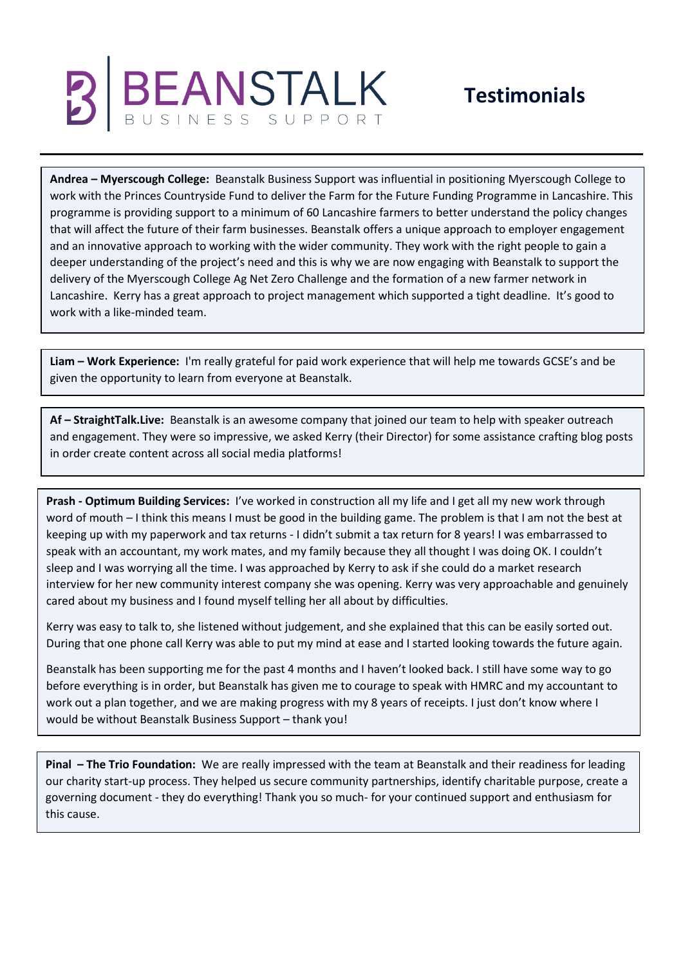## **BEANSTALK**

## **Testimonials**

**Andrea – Myerscough College:** Beanstalk Business Support was influential in positioning Myerscough College to work with the Princes Countryside Fund to deliver the Farm for the Future Funding Programme in Lancashire. This programme is providing support to a minimum of 60 Lancashire farmers to better understand the policy changes that will affect the future of their farm businesses. Beanstalk offers a unique approach to employer engagement and an innovative approach to working with the wider community. They work with the right people to gain a deeper understanding of the project's need and this is why we are now engaging with Beanstalk to support the delivery of the Myerscough College Ag Net Zero Challenge and the formation of a new farmer network in Lancashire. Kerry has a great approach to project management which supported a tight deadline. It's good to work with a like-minded team.

**Liam – Work Experience:** I'm really grateful for paid work experience that will help me towards GCSE's and be given the opportunity to learn from everyone at Beanstalk.

**Af – StraightTalk.Live:** Beanstalk is an awesome company that joined our team to help with speaker outreach and engagement. They were so impressive, we asked Kerry (their Director) for some assistance crafting blog posts in order create content across all social media platforms!

**Prash - Optimum Building Services:** I've worked in construction all my life and I get all my new work through word of mouth – I think this means I must be good in the building game. The problem is that I am not the best at keeping up with my paperwork and tax returns - I didn't submit a tax return for 8 years! I was embarrassed to speak with an accountant, my work mates, and my family because they all thought I was doing OK. I couldn't sleep and I was worrying all the time. I was approached by Kerry to ask if she could do a market research interview for her new community interest company she was opening. Kerry was very approachable and genuinely cared about my business and I found myself telling her all about by difficulties.

Kerry was easy to talk to, she listened without judgement, and she explained that this can be easily sorted out. During that one phone call Kerry was able to put my mind at ease and I started looking towards the future again.

Beanstalk has been supporting me for the past 4 months and I haven't looked back. I still have some way to go before everything is in order, but Beanstalk has given me to courage to speak with HMRC and my accountant to work out a plan together, and we are making progress with my 8 years of receipts. I just don't know where I would be without Beanstalk Business Support – thank you!

**Pinal – The Trio Foundation:** We are really impressed with the team at Beanstalk and their readiness for leading our charity start-up process. They helped us secure community partnerships, identify charitable purpose, create a governing document - they do everything! Thank you so much- for your continued support and enthusiasm for this cause.